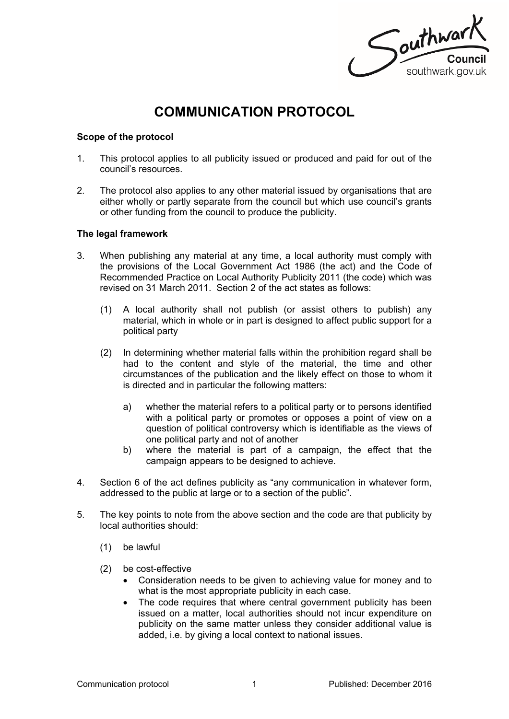Southwark southwark.gov.uk

# **COMMUNICATION PROTOCOL**

## **Scope of the protocol**

- 1. This protocol applies to all publicity issued or produced and paid for out of the council's resources.
- 2. The protocol also applies to any other material issued by organisations that are either wholly or partly separate from the council but which use council's grants or other funding from the council to produce the publicity.

## **The legal framework**

- 3. When publishing any material at any time, a local authority must comply with the provisions of the Local Government Act 1986 (the act) and the Code of Recommended Practice on Local Authority Publicity 2011 (the code) which was revised on 31 March 2011. Section 2 of the act states as follows:
	- (1) A local authority shall not publish (or assist others to publish) any material, which in whole or in part is designed to affect public support for a political party
	- (2) In determining whether material falls within the prohibition regard shall be had to the content and style of the material, the time and other circumstances of the publication and the likely effect on those to whom it is directed and in particular the following matters:
		- a) whether the material refers to a political party or to persons identified with a political party or promotes or opposes a point of view on a question of political controversy which is identifiable as the views of one political party and not of another
		- b) where the material is part of a campaign, the effect that the campaign appears to be designed to achieve.
- 4. Section 6 of the act defines publicity as "any communication in whatever form, addressed to the public at large or to a section of the public".
- 5. The key points to note from the above section and the code are that publicity by local authorities should:
	- (1) be lawful
	- (2) be cost-effective
		- Consideration needs to be given to achieving value for money and to what is the most appropriate publicity in each case.
		- The code requires that where central government publicity has been issued on a matter, local authorities should not incur expenditure on publicity on the same matter unless they consider additional value is added, i.e. by giving a local context to national issues.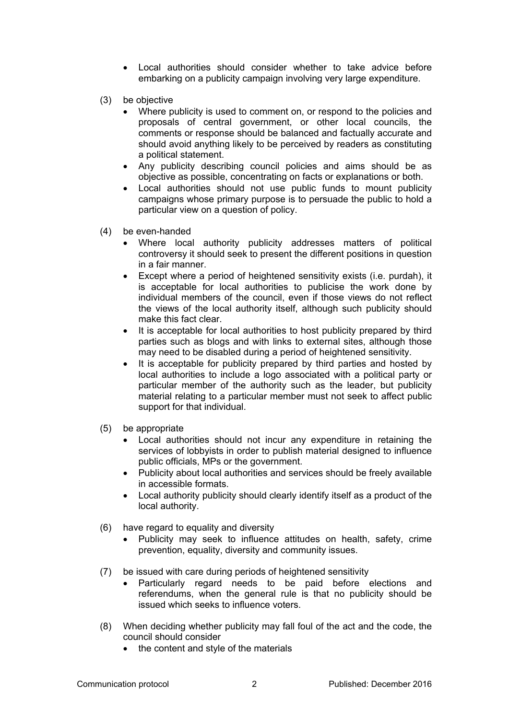- Local authorities should consider whether to take advice before embarking on a publicity campaign involving very large expenditure.
- (3) be objective
	- Where publicity is used to comment on, or respond to the policies and proposals of central government, or other local councils, the comments or response should be balanced and factually accurate and should avoid anything likely to be perceived by readers as constituting a political statement.
	- Any publicity describing council policies and aims should be as objective as possible, concentrating on facts or explanations or both.
	- Local authorities should not use public funds to mount publicity campaigns whose primary purpose is to persuade the public to hold a particular view on a question of policy.
- (4) be even-handed
	- Where local authority publicity addresses matters of political controversy it should seek to present the different positions in question in a fair manner.
	- Except where a period of heightened sensitivity exists (i.e. purdah), it is acceptable for local authorities to publicise the work done by individual members of the council, even if those views do not reflect the views of the local authority itself, although such publicity should make this fact clear.
	- It is acceptable for local authorities to host publicity prepared by third parties such as blogs and with links to external sites, although those may need to be disabled during a period of heightened sensitivity.
	- It is acceptable for publicity prepared by third parties and hosted by local authorities to include a logo associated with a political party or particular member of the authority such as the leader, but publicity material relating to a particular member must not seek to affect public support for that individual.
- (5) be appropriate
	- Local authorities should not incur any expenditure in retaining the services of lobbyists in order to publish material designed to influence public officials, MPs or the government.
	- Publicity about local authorities and services should be freely available in accessible formats.
	- Local authority publicity should clearly identify itself as a product of the local authority.
- (6) have regard to equality and diversity
	- Publicity may seek to influence attitudes on health, safety, crime prevention, equality, diversity and community issues.
- (7) be issued with care during periods of heightened sensitivity
	- Particularly regard needs to be paid before elections and referendums, when the general rule is that no publicity should be issued which seeks to influence voters.
- (8) When deciding whether publicity may fall foul of the act and the code, the council should consider
	- the content and style of the materials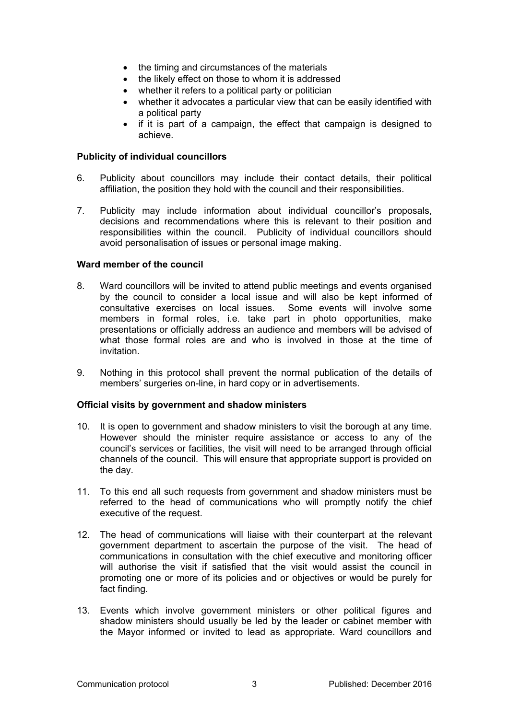- the timing and circumstances of the materials
- the likely effect on those to whom it is addressed
- whether it refers to a political party or politician
- whether it advocates a particular view that can be easily identified with a political party
- if it is part of a campaign, the effect that campaign is designed to achieve.

## **Publicity of individual councillors**

- 6. Publicity about councillors may include their contact details, their political affiliation, the position they hold with the council and their responsibilities.
- 7. Publicity may include information about individual councillor's proposals, decisions and recommendations where this is relevant to their position and responsibilities within the council. Publicity of individual councillors should avoid personalisation of issues or personal image making.

## **Ward member of the council**

- 8. Ward councillors will be invited to attend public meetings and events organised by the council to consider a local issue and will also be kept informed of consultative exercises on local issues. Some events will involve some members in formal roles, i.e. take part in photo opportunities, make presentations or officially address an audience and members will be advised of what those formal roles are and who is involved in those at the time of invitation.
- 9. Nothing in this protocol shall prevent the normal publication of the details of members' surgeries on-line, in hard copy or in advertisements.

#### **Official visits by government and shadow ministers**

- 10. It is open to government and shadow ministers to visit the borough at any time. However should the minister require assistance or access to any of the council's services or facilities, the visit will need to be arranged through official channels of the council. This will ensure that appropriate support is provided on the day.
- 11. To this end all such requests from government and shadow ministers must be referred to the head of communications who will promptly notify the chief executive of the request.
- 12. The head of communications will liaise with their counterpart at the relevant government department to ascertain the purpose of the visit. The head of communications in consultation with the chief executive and monitoring officer will authorise the visit if satisfied that the visit would assist the council in promoting one or more of its policies and or objectives or would be purely for fact finding.
- 13. Events which involve government ministers or other political figures and shadow ministers should usually be led by the leader or cabinet member with the Mayor informed or invited to lead as appropriate. Ward councillors and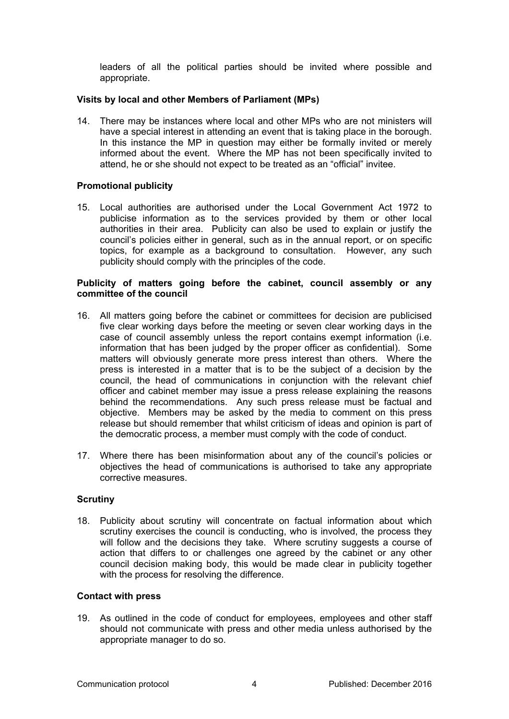leaders of all the political parties should be invited where possible and appropriate.

## **Visits by local and other Members of Parliament (MPs)**

14. There may be instances where local and other MPs who are not ministers will have a special interest in attending an event that is taking place in the borough. In this instance the MP in question may either be formally invited or merely informed about the event. Where the MP has not been specifically invited to attend, he or she should not expect to be treated as an "official" invitee.

## **Promotional publicity**

15. Local authorities are authorised under the Local Government Act 1972 to publicise information as to the services provided by them or other local authorities in their area. Publicity can also be used to explain or justify the council's policies either in general, such as in the annual report, or on specific topics, for example as a background to consultation. However, any such publicity should comply with the principles of the code.

## **Publicity of matters going before the cabinet, council assembly or any committee of the council**

- 16. All matters going before the cabinet or committees for decision are publicised five clear working days before the meeting or seven clear working days in the case of council assembly unless the report contains exempt information (i.e. information that has been judged by the proper officer as confidential). Some matters will obviously generate more press interest than others. Where the press is interested in a matter that is to be the subject of a decision by the council, the head of communications in conjunction with the relevant chief officer and cabinet member may issue a press release explaining the reasons behind the recommendations. Any such press release must be factual and objective. Members may be asked by the media to comment on this press release but should remember that whilst criticism of ideas and opinion is part of the democratic process, a member must comply with the code of conduct.
- 17. Where there has been misinformation about any of the council's policies or objectives the head of communications is authorised to take any appropriate corrective measures.

#### **Scrutiny**

18. Publicity about scrutiny will concentrate on factual information about which scrutiny exercises the council is conducting, who is involved, the process they will follow and the decisions they take. Where scrutiny suggests a course of action that differs to or challenges one agreed by the cabinet or any other council decision making body, this would be made clear in publicity together with the process for resolving the difference.

#### **Contact with press**

19. As outlined in the code of conduct for employees, employees and other staff should not communicate with press and other media unless authorised by the appropriate manager to do so.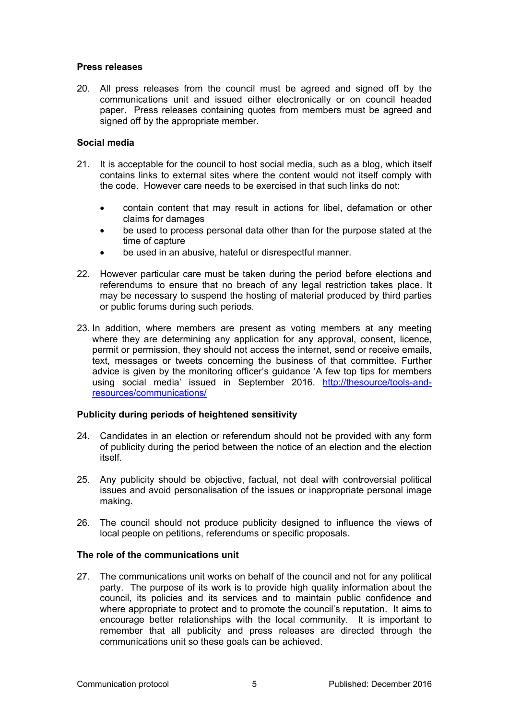## **Press releases**

20. All press releases from the council must be agreed and signed off by the communications unit and issued either electronically or on council headed paper. Press releases containing quotes from members must be agreed and signed off by the appropriate member.

# **Social media**

- 21. It is acceptable for the council to host social media, such as a blog, which itself contains links to external sites where the content would not itself comply with the code. However care needs to be exercised in that such links do not:
	- contain content that may result in actions for libel, defamation or other claims for damages
	- be used to process personal data other than for the purpose stated at the time of capture
	- be used in an abusive, hateful or disrespectful manner.
- 22. However particular care must be taken during the period before elections and referendums to ensure that no breach of any legal restriction takes place. It may be necessary to suspend the hosting of material produced by third parties or public forums during such periods.
- 23. In addition, where members are present as voting members at any meeting where they are determining any application for any approval, consent, licence, permit or permission, they should not access the internet, send or receive emails, text, messages or tweets concerning the business of that committee. Further advice is given by the monitoring officer's guidance 'A few top tips for members using social media' issued in September 2016. [http://thesource/tools-and](http://thesource/tools-and-resources/communications/)[resources/communications/](http://thesource/tools-and-resources/communications/)

# **Publicity during periods of heightened sensitivity**

- 24. Candidates in an election or referendum should not be provided with any form of publicity during the period between the notice of an election and the election itself.
- 25. Any publicity should be objective, factual, not deal with controversial political issues and avoid personalisation of the issues or inappropriate personal image making.
- 26. The council should not produce publicity designed to influence the views of local people on petitions, referendums or specific proposals.

#### **The role of the communications unit**

27. The communications unit works on behalf of the council and not for any political party. The purpose of its work is to provide high quality information about the council, its policies and its services and to maintain public confidence and where appropriate to protect and to promote the council's reputation. It aims to encourage better relationships with the local community. It is important to remember that all publicity and press releases are directed through the communications unit so these goals can be achieved.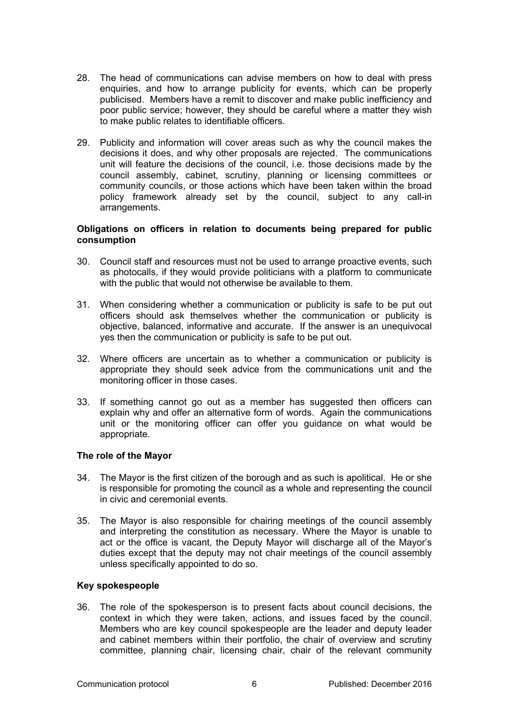- 28. The head of communications can advise members on how to deal with press enquiries, and how to arrange publicity for events, which can be properly publicised. Members have a remit to discover and make public inefficiency and poor public service; however, they should be careful where a matter they wish to make public relates to identifiable officers.
- 29. Publicity and information will cover areas such as why the council makes the decisions it does, and why other proposals are rejected. The communications unit will feature the decisions of the council, i.e. those decisions made by the council assembly, cabinet, scrutiny, planning or licensing committees or community councils, or those actions which have been taken within the broad policy framework already set by the council, subject to any call-in arrangements.

## **Obligations on officers in relation to documents being prepared for public consumption**

- 30. Council staff and resources must not be used to arrange proactive events, such as photocalls, if they would provide politicians with a platform to communicate with the public that would not otherwise be available to them.
- 31. When considering whether a communication or publicity is safe to be put out officers should ask themselves whether the communication or publicity is objective, balanced, informative and accurate. If the answer is an unequivocal yes then the communication or publicity is safe to be put out.
- 32. Where officers are uncertain as to whether a communication or publicity is appropriate they should seek advice from the communications unit and the monitoring officer in those cases.
- 33. If something cannot go out as a member has suggested then officers can explain why and offer an alternative form of words. Again the communications unit or the monitoring officer can offer you guidance on what would be appropriate.

# **The role of the Mayor**

- 34. The Mayor is the first citizen of the borough and as such is apolitical. He or she is responsible for promoting the council as a whole and representing the council in civic and ceremonial events.
- 35. The Mayor is also responsible for chairing meetings of the council assembly and interpreting the constitution as necessary. Where the Mayor is unable to act or the office is vacant, the Deputy Mayor will discharge all of the Mayor's duties except that the deputy may not chair meetings of the council assembly unless specifically appointed to do so.

## **Key spokespeople**

36. The role of the spokesperson is to present facts about council decisions, the context in which they were taken, actions, and issues faced by the council. Members who are key council spokespeople are the leader and deputy leader and cabinet members within their portfolio, the chair of overview and scrutiny committee, planning chair, licensing chair, chair of the relevant community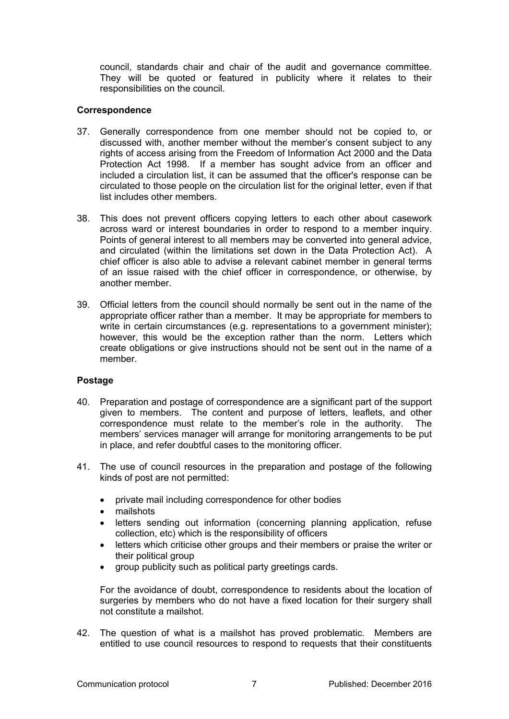council, standards chair and chair of the audit and governance committee. They will be quoted or featured in publicity where it relates to their responsibilities on the council.

## **Correspondence**

- 37. Generally correspondence from one member should not be copied to, or discussed with, another member without the member's consent subject to any rights of access arising from the Freedom of Information Act 2000 and the Data Protection Act 1998. If a member has sought advice from an officer and included a circulation list, it can be assumed that the officer's response can be circulated to those people on the circulation list for the original letter, even if that list includes other members.
- 38. This does not prevent officers copying letters to each other about casework across ward or interest boundaries in order to respond to a member inquiry. Points of general interest to all members may be converted into general advice, and circulated (within the limitations set down in the Data Protection Act). A chief officer is also able to advise a relevant cabinet member in general terms of an issue raised with the chief officer in correspondence, or otherwise, by another member.
- 39. Official letters from the council should normally be sent out in the name of the appropriate officer rather than a member. It may be appropriate for members to write in certain circumstances (e.g. representations to a government minister); however, this would be the exception rather than the norm. Letters which create obligations or give instructions should not be sent out in the name of a member.

# **Postage**

- 40. Preparation and postage of correspondence are a significant part of the support given to members. The content and purpose of letters, leaflets, and other correspondence must relate to the member's role in the authority. The members' services manager will arrange for monitoring arrangements to be put in place, and refer doubtful cases to the monitoring officer.
- 41. The use of council resources in the preparation and postage of the following kinds of post are not permitted:
	- private mail including correspondence for other bodies
	- mailshots
	- letters sending out information (concerning planning application, refuse collection, etc) which is the responsibility of officers
	- letters which criticise other groups and their members or praise the writer or their political group
	- group publicity such as political party greetings cards.

For the avoidance of doubt, correspondence to residents about the location of surgeries by members who do not have a fixed location for their surgery shall not constitute a mailshot.

42. The question of what is a mailshot has proved problematic. Members are entitled to use council resources to respond to requests that their constituents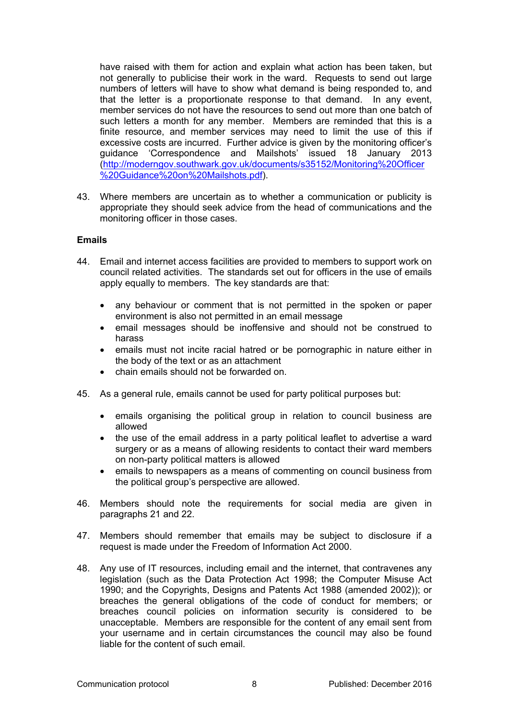have raised with them for action and explain what action has been taken, but not generally to publicise their work in the ward. Requests to send out large numbers of letters will have to show what demand is being responded to, and that the letter is a proportionate response to that demand. In any event, member services do not have the resources to send out more than one batch of such letters a month for any member. Members are reminded that this is a finite resource, and member services may need to limit the use of this if excessive costs are incurred. Further advice is given by the monitoring officer's guidance 'Correspondence and Mailshots' issued 18 January 2013 ([http://moderngov.southwark.gov.uk/documents/s35152/Monitoring%20Officer](http://moderngov.southwark.gov.uk/documents/s35152/Monitoring%20Officer%20Guidance%20on%20Mailshots.pdf) [%20Guidance%20on%20Mailshots.pdf](http://moderngov.southwark.gov.uk/documents/s35152/Monitoring%20Officer%20Guidance%20on%20Mailshots.pdf)).

43. Where members are uncertain as to whether a communication or publicity is appropriate they should seek advice from the head of communications and the monitoring officer in those cases.

#### **Emails**

- 44. Email and internet access facilities are provided to members to support work on council related activities. The standards set out for officers in the use of emails apply equally to members. The key standards are that:
	- any behaviour or comment that is not permitted in the spoken or paper environment is also not permitted in an email message
	- email messages should be inoffensive and should not be construed to harass
	- emails must not incite racial hatred or be pornographic in nature either in the body of the text or as an attachment
	- chain emails should not be forwarded on.
- 45. As a general rule, emails cannot be used for party political purposes but:
	- emails organising the political group in relation to council business are allowed
	- the use of the email address in a party political leaflet to advertise a ward surgery or as a means of allowing residents to contact their ward members on non-party political matters is allowed
	- emails to newspapers as a means of commenting on council business from the political group's perspective are allowed.
- 46. Members should note the requirements for social media are given in paragraphs 21 and 22.
- 47. Members should remember that emails may be subject to disclosure if a request is made under the Freedom of Information Act 2000.
- 48. Any use of IT resources, including email and the internet, that contravenes any legislation (such as the Data Protection Act 1998; the Computer Misuse Act 1990; and the Copyrights, Designs and Patents Act 1988 (amended 2002)); or breaches the general obligations of the code of conduct for members; or breaches council policies on information security is considered to be unacceptable. Members are responsible for the content of any email sent from your username and in certain circumstances the council may also be found liable for the content of such email.